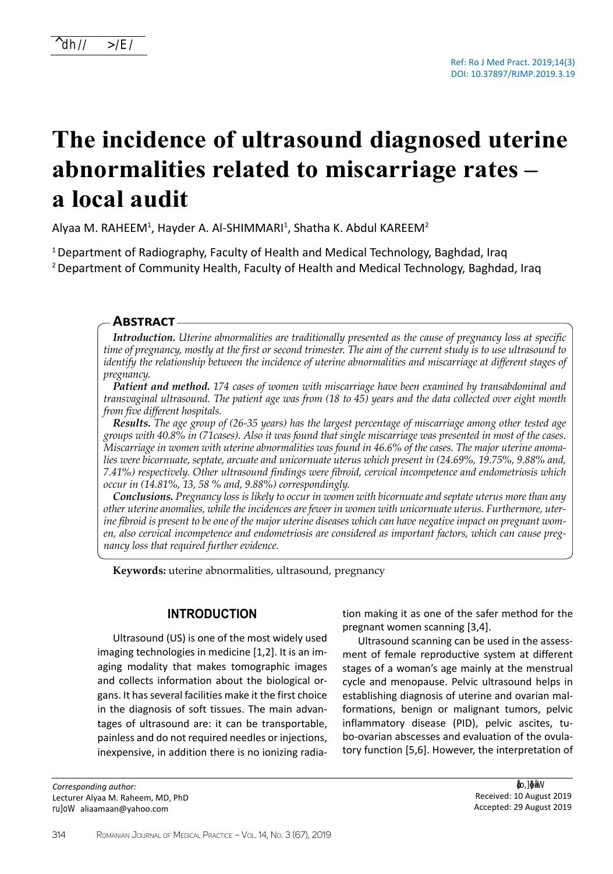# **The incidence of ultrasound diagnosed uterine abnormalities related to miscarriage rates – a local audit**

Alyaa M. RAHEEM<sup>1</sup>, Hayder A. Al-SHIMMARI<sup>1</sup>, Shatha K. Abdul KAREEM<sup>2</sup>

<sup>1</sup>Department of Radiography, Faculty of Health and Medical Technology, Baghdad, Iraq <sup>2</sup> Department of Community Health, Faculty of Health and Medical Technology, Baghdad, Iraq

### **Abstract**

*Introduction. Uterine abnormalities are traditionally presented as the cause of pregnancy loss at specific time of pregnancy, mostly at the first or second trimester. The aim of the current study is to use ultrasound to identify the relationship between the incidence of uterine abnormalities and miscarriage at different stages of pregnancy.* 

*Patient and method. 174 cases of women with miscarriage have been examined by transabdominal and transvaginal ultrasound. The patient age was from (18 to 45) years and the data collected over eight month from five different hospitals.* 

*Results. The age group of (26-35 years) has the largest percentage of miscarriage among other tested age groups with 40.8% in (71cases). Also it was found that single miscarriage was presented in most of the cases. Miscarriage in women with uterine abnormalities was found in 46.6% of the cases. The major uterine anomalies were bicornuate, septate, arcuate and unicornuate uterus which present in (24.69%, 19.75%, 9.88% and, 7.41%) respectively. Other ultrasound findings were fibroid, cervical incompetence and endometriosis which occur in (14.81%, 13, 58 % and, 9.88%) correspondingly.* 

*Conclusions. Pregnancy loss is likely to occur in women with bicornuate and septate uterus more than any other uterine anomalies, while the incidences are fewer in women with unicornuate uterus. Furthermore, uterine fibroid is present to be one of the major uterine diseases which can have negative impact on pregnant women, also cervical incompetence and endometriosis are considered as important factors, which can cause pregnancy loss that required further evidence.*

**Keywords:** uterine abnormalities, ultrasound, pregnancy

## **Introduction**

Ultrasound (US) is one of the most widely used imaging technologies in medicine [1,2]. It is an imaging modality that makes tomographic images and collects information about the biological organs. It has several facilities make it the first choice in the diagnosis of soft tissues. The main advantages of ultrasound are: it can be transportable, painless and do not required needles or injections, inexpensive, in addition there is no ionizing radia-

*Corresponding author:*  Lecturer Alyaa M. Raheem, MD, PhD E-mail: aliaamaan@yahoo.com

tion making it as one of the safer method for the pregnant women scanning [3,4].

Ultrasound scanning can be used in the assessment of female reproductive system at different stages of a woman's age mainly at the menstrual cycle and menopause. Pelvic ultrasound helps in establishing diagnosis of uterine and ovarian malformations, benign or malignant tumors, pelvic inflammatory disease (PID), pelvic ascites, tubo-ovarian abscesses and evaluation of the ovulatory function [5,6]. However, the interpretation of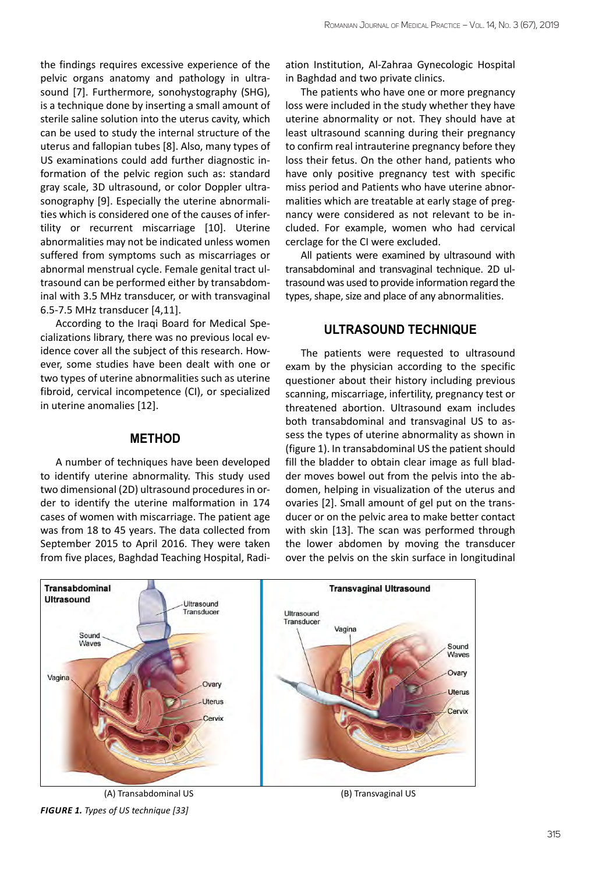the findings requires excessive experience of the pelvic organs anatomy and pathology in ultrasound [7]. Furthermore, sonohystography (SHG), is a technique done by inserting a small amount of sterile saline solution into the uterus cavity, which can be used to study the internal structure of the uterus and fallopian tubes [8]. Also, many types of US examinations could add further diagnostic information of the pelvic region such as: standard gray scale, 3D ultrasound, or color Doppler ultrasonography [9]. Especially the uterine abnormalities which is considered one of the causes of infertility or recurrent miscarriage [10]. Uterine abnormalities may not be indicated unless women suffered from symptoms such as miscarriages or abnormal menstrual cycle. Female genital tract ultrasound can be performed either by transabdominal with 3.5 MHz transducer, or with transvaginal 6.5-7.5 MHz transducer [4,11].

According to the Iraqi Board for Medical Specializations library, there was no previous local evidence cover all the subject of this research. However, some studies have been dealt with one or two types of uterine abnormalities such as uterine fibroid, cervical incompetence (CI), or specialized in uterine anomalies [12].

## **Method**

A number of techniques have been developed to identify uterine abnormality. This study used two dimensional (2D) ultrasound procedures in order to identify the uterine malformation in 174 cases of women with miscarriage. The patient age was from 18 to 45 years. The data collected from September 2015 to April 2016. They were taken from five places, Baghdad Teaching Hospital, Radiation Institution, Al-Zahraa Gynecologic Hospital in Baghdad and two private clinics.

The patients who have one or more pregnancy loss were included in the study whether they have uterine abnormality or not. They should have at least ultrasound scanning during their pregnancy to confirm real intrauterine pregnancy before they loss their fetus. On the other hand, patients who have only positive pregnancy test with specific miss period and Patients who have uterine abnormalities which are treatable at early stage of pregnancy were considered as not relevant to be included. For example, women who had cervical cerclage for the CI were excluded.

All patients were examined by ultrasound with transabdominal and transvaginal technique. 2D ultrasound was used to provide information regard the types, shape, size and place of any abnormalities.

## **Ultrasound technique**

The patients were requested to ultrasound exam by the physician according to the specific questioner about their history including previous scanning, miscarriage, infertility, pregnancy test or threatened abortion. Ultrasound exam includes both transabdominal and transvaginal US to assess the types of uterine abnormality as shown in (figure 1). In transabdominal US the patient should fill the bladder to obtain clear image as full bladder moves bowel out from the pelvis into the abdomen, helping in visualization of the uterus and ovaries [2]. Small amount of gel put on the transducer or on the pelvic area to make better contact with skin [13]. The scan was performed through the lower abdomen by moving the transducer over the pelvis on the skin surface in longitudinal



*Figure 1. Types of US technique [33]*

(A) Transabdominal US (B) Transvaginal US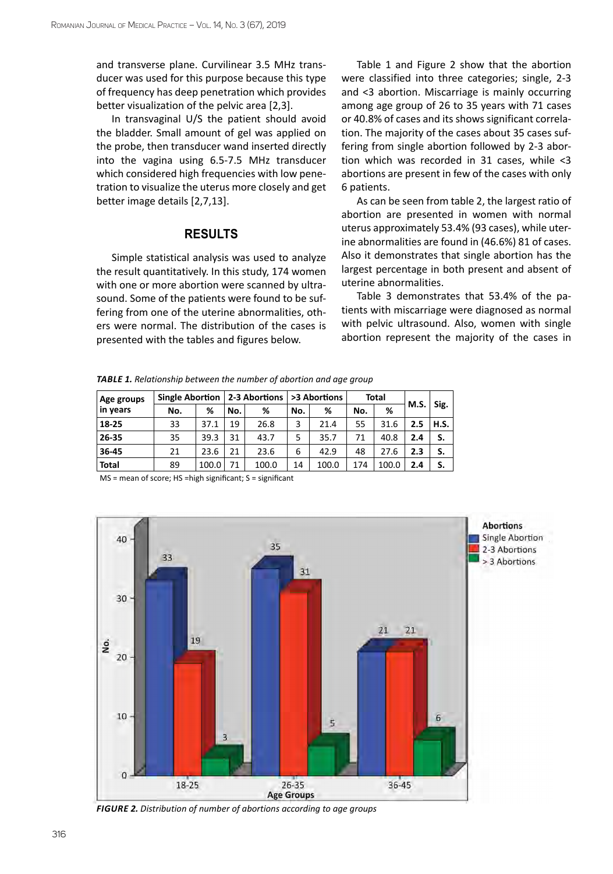and transverse plane. Curvilinear 3.5 MHz transducer was used for this purpose because this type of frequency has deep penetration which provides better visualization of the pelvic area [2,3].

In transvaginal U/S the patient should avoid the bladder. Small amount of gel was applied on the probe, then transducer wand inserted directly into the vagina using 6.5-7.5 MHz transducer which considered high frequencies with low penetration to visualize the uterus more closely and get better image details [2,7,13].

## **Results**

Simple statistical analysis was used to analyze the result quantitatively. In this study, 174 women with one or more abortion were scanned by ultrasound. Some of the patients were found to be suffering from one of the uterine abnormalities, others were normal. The distribution of the cases is presented with the tables and figures below.

Table 1 and Figure 2 show that the abortion were classified into three categories; single, 2-3 and <3 abortion. Miscarriage is mainly occurring among age group of 26 to 35 years with 71 cases or 40.8% of cases and its shows significant correlation. The majority of the cases about 35 cases suffering from single abortion followed by 2-3 abortion which was recorded in 31 cases, while <3 abortions are present in few of the cases with only 6 patients.

As can be seen from table 2, the largest ratio of abortion are presented in women with normal uterus approximately 53.4% (93 cases), while uterine abnormalities are found in (46.6%) 81 of cases. Also it demonstrates that single abortion has the largest percentage in both present and absent of uterine abnormalities.

Table 3 demonstrates that 53.4% of the patients with miscarriage were diagnosed as normal with pelvic ultrasound. Also, women with single abortion represent the majority of the cases in

*Table 1. Relationship between the number of abortion and age group* 

| Age groups   | Single Abortion   2-3 Abortions |       |     |       | >3 Abortions |       | <b>Total</b> |       |     |             |
|--------------|---------------------------------|-------|-----|-------|--------------|-------|--------------|-------|-----|-------------|
| in years     | %<br>No.<br>No.                 | %     | No. | %     | No.          | %     | M.S.         | Sig.  |     |             |
| 18-25        | 33                              | 37.1  | 19  | 26.8  | 3            | 21.4  | 55           | 31.6  | 2.5 | <b>H.S.</b> |
| 26-35        | 35                              | 39.3  | 31  | 43.7  | 5            | 35.7  | 71           | 40.8  | 2.4 | S.          |
| 36-45        | 21                              | 23.6  | 21  | 23.6  | 6            | 42.9  | 48           | 27.6  | 2.3 | S.          |
| <b>Total</b> | 89                              | 100.0 | 71  | 100.0 | 14           | 100.0 | 174          | 100.0 | 2.4 | S.          |

MS = mean of score; HS =high significant; S = significant



*Figure 2. Distribution of number of abortions according to age groups*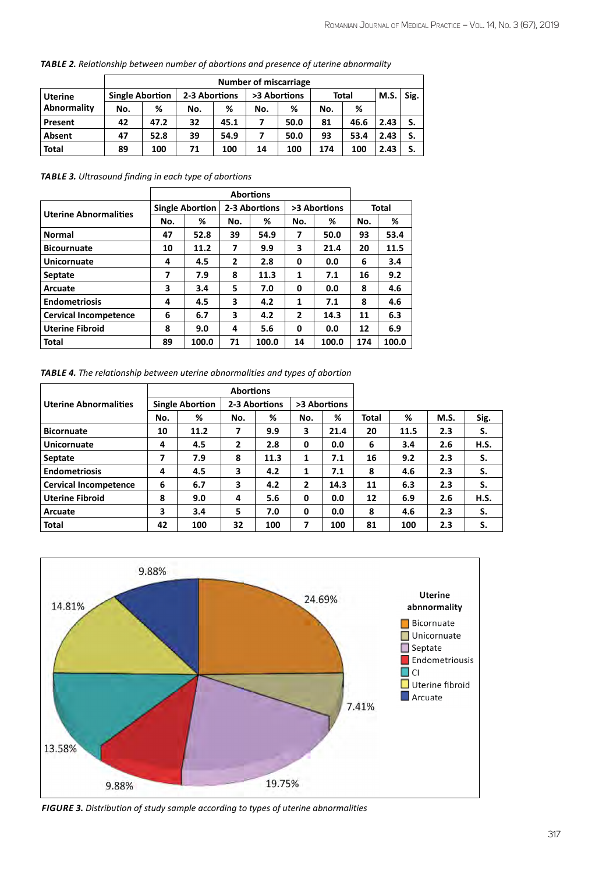|                | <b>Number of miscarriage</b> |      |               |      |              |      |              |      |      |      |
|----------------|------------------------------|------|---------------|------|--------------|------|--------------|------|------|------|
| <b>Uterine</b> | <b>Single Abortion</b>       |      | 2-3 Abortions |      | >3 Abortions |      | <b>Total</b> |      | M.S. | Sig. |
| Abnormality    | No.                          | %    | No.           | %    | No.          | %    | No.          | %    |      |      |
| Present        | 42                           | 47.2 | 32            | 45.1 | 7            | 50.0 | 81           | 46.6 | 2.43 |      |
| Absent         | 47                           | 52.8 | 39            | 54.9 | 7            | 50.0 | 93           | 53.4 | 2.43 |      |
| <b>Total</b>   | 89                           | 100  | 71            | 100  | 14           | 100  | 174          | 100  | 2.43 | S.   |

*Table 2. Relationship between number of abortions and presence of uterine abnormality*

*Table 3. Ultrasound finding in each type of abortions*

|                              | <b>Single Abortion</b> |       |                | 2-3 Abortions |     | >3 Abortions | Total |       |  |
|------------------------------|------------------------|-------|----------------|---------------|-----|--------------|-------|-------|--|
| <b>Uterine Abnormalities</b> | No.                    | ℅     | No.            | ℅             | No. | ℅            | No.   | %     |  |
| <b>Normal</b>                | 47                     | 52.8  | 39             | 54.9          | 7   | 50.0         | 93    | 53.4  |  |
| <b>Bicournuate</b>           | 10                     | 11.2  | 7              | 9.9           | 3   | 21.4         | 20    | 11.5  |  |
| Unicornuate                  | 4                      | 4.5   | $\overline{2}$ | 2.8           | 0   | 0.0          | 6     | 3.4   |  |
| <b>Septate</b>               | 7                      | 7.9   | 8              | 11.3          | 1   | 7.1          | 16    | 9.2   |  |
| Arcuate                      | 3                      | 3.4   | 5              | 7.0           | 0   | 0.0          | 8     | 4.6   |  |
| <b>Endometriosis</b>         | 4                      | 4.5   | 3              | 4.2           | 1   | 7.1          | 8     | 4.6   |  |
| <b>Cervical Incompetence</b> | 6                      | 6.7   | 3              | 4.2           | 2   | 14.3         | 11    | 6.3   |  |
| <b>Uterine Fibroid</b>       | 8                      | 9.0   | 4              | 5.6           | 0   | 0.0          | 12    | 6.9   |  |
| <b>Total</b>                 | 89                     | 100.0 | 71             | 100.0         | 14  | 100.0        | 174   | 100.0 |  |

*Table 4. The relationship between uterine abnormalities and types of abortion*

|                              |                        |      | <b>Abortions</b> |      |                |      |              |      |      |             |
|------------------------------|------------------------|------|------------------|------|----------------|------|--------------|------|------|-------------|
| <b>Uterine Abnormalities</b> | <b>Single Abortion</b> |      | 2-3 Abortions    |      | >3 Abortions   |      |              |      |      |             |
|                              | No.                    | %    | No.              | %    | No.            | %    | <b>Total</b> | %    | M.S. | Sig.        |
| <b>Bicornuate</b>            | 10                     | 11.2 | 7                | 9.9  | 3              | 21.4 | 20           | 11.5 | 2.3  | S.          |
| Unicornuate                  | 4                      | 4.5  | 2                | 2.8  | 0              | 0.0  | 6            | 3.4  | 2.6  | <b>H.S.</b> |
| Septate                      | 7                      | 7.9  | 8                | 11.3 | 1              | 7.1  | 16           | 9.2  | 2.3  | S.          |
| <b>Endometriosis</b>         | 4                      | 4.5  | 3                | 4.2  | 1              | 7.1  | 8            | 4.6  | 2.3  | S.          |
| <b>Cervical Incompetence</b> | 6                      | 6.7  | 3                | 4.2  | $\overline{2}$ | 14.3 | 11           | 6.3  | 2.3  | S.          |
| <b>Uterine Fibroid</b>       | 8                      | 9.0  | 4                | 5.6  | 0              | 0.0  | 12           | 6.9  | 2.6  | <b>H.S.</b> |
| Arcuate                      | 3                      | 3.4  | 5.               | 7.0  | 0              | 0.0  | 8            | 4.6  | 2.3  | S.          |
| <b>Total</b>                 | 42                     | 100  | 32               | 100  | 7              | 100  | 81           | 100  | 2.3  | S.          |



*Figure 3. Distribution of study sample according to types of uterine abnormalities*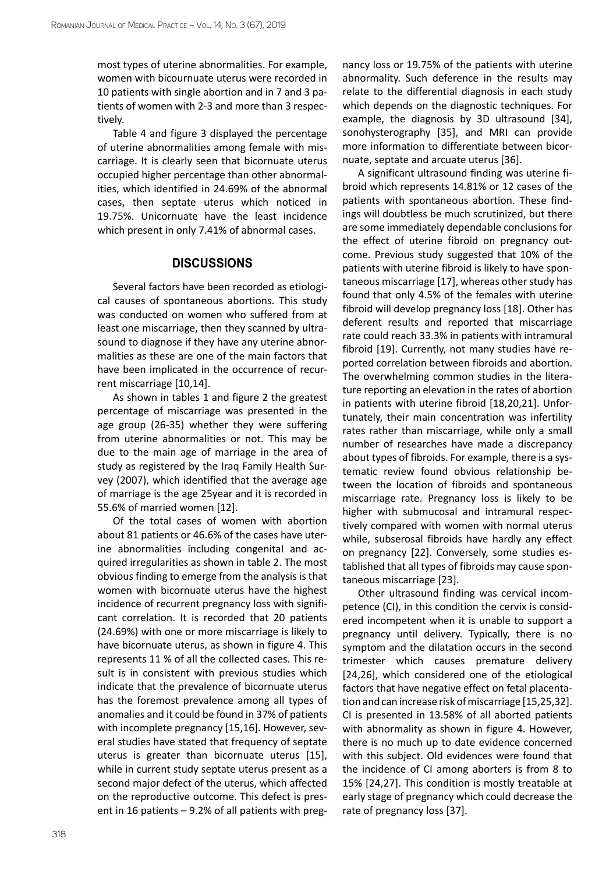most types of uterine abnormalities. For example, women with bicournuate uterus were recorded in 10 patients with single abortion and in 7 and 3 patients of women with 2-3 and more than 3 respectively.

Table 4 and figure 3 displayed the percentage of uterine abnormalities among female with miscarriage. It is clearly seen that bicornuate uterus occupied higher percentage than other abnormalities, which identified in 24.69% of the abnormal cases, then septate uterus which noticed in 19.75%. Unicornuate have the least incidence which present in only 7.41% of abnormal cases.

### **Discussions**

Several factors have been recorded as etiological causes of spontaneous abortions. This study was conducted on women who suffered from at least one miscarriage, then they scanned by ultrasound to diagnose if they have any uterine abnormalities as these are one of the main factors that have been implicated in the occurrence of recurrent miscarriage [10,14].

As shown in tables 1 and figure 2 the greatest percentage of miscarriage was presented in the age group (26-35) whether they were suffering from uterine abnormalities or not. This may be due to the main age of marriage in the area of study as registered by the Iraq Family Health Survey (2007), which identified that the average age of marriage is the age 25year and it is recorded in 55.6% of married women [12].

Of the total cases of women with abortion about 81 patients or 46.6% of the cases have uterine abnormalities including congenital and acquired irregularities as shown in table 2. The most obvious finding to emerge from the analysis is that women with bicornuate uterus have the highest incidence of recurrent pregnancy loss with significant correlation. It is recorded that 20 patients (24.69%) with one or more miscarriage is likely to have bicornuate uterus, as shown in figure 4. This represents 11 % of all the collected cases. This result is in consistent with previous studies which indicate that the prevalence of bicornuate uterus has the foremost prevalence among all types of anomalies and it could be found in 37% of patients with incomplete pregnancy [15,16]. However, several studies have stated that frequency of septate uterus is greater than bicornuate uterus [15], while in current study septate uterus present as a second major defect of the uterus, which affected on the reproductive outcome. This defect is present in 16 patients – 9.2% of all patients with preg-

nancy loss or 19.75% of the patients with uterine abnormality. Such deference in the results may relate to the differential diagnosis in each study which depends on the diagnostic techniques. For example, the diagnosis by 3D ultrasound [34], sonohysterography [35], and MRI can provide more information to differentiate between bicornuate, septate and arcuate uterus [36].

A significant ultrasound finding was uterine fibroid which represents 14.81% or 12 cases of the patients with spontaneous abortion. These findings will doubtless be much scrutinized, but there are some immediately dependable conclusions for the effect of uterine fibroid on pregnancy outcome. Previous study suggested that 10% of the patients with uterine fibroid is likely to have spontaneous miscarriage [17], whereas other study has found that only 4.5% of the females with uterine fibroid will develop pregnancy loss [18]. Other has deferent results and reported that miscarriage rate could reach 33.3% in patients with intramural fibroid [19]. Currently, not many studies have reported correlation between fibroids and abortion. The overwhelming common studies in the literature reporting an elevation in the rates of abortion in patients with uterine fibroid [18,20,21]. Unfortunately, their main concentration was infertility rates rather than miscarriage, while only a small number of researches have made a discrepancy about types of fibroids. For example, there is a systematic review found obvious relationship between the location of fibroids and spontaneous miscarriage rate. Pregnancy loss is likely to be higher with submucosal and intramural respectively compared with women with normal uterus while, subserosal fibroids have hardly any effect on pregnancy [22]. Conversely, some studies established that all types of fibroids may cause spontaneous miscarriage [23].

Other ultrasound finding was cervical incompetence (CI), in this condition the cervix is considered incompetent when it is unable to support a pregnancy until delivery. Typically, there is no symptom and the dilatation occurs in the second trimester which causes premature delivery [24,26], which considered one of the etiological factors that have negative effect on fetal placentation and can increase risk of miscarriage [15,25,32]. CI is presented in 13.58% of all aborted patients with abnormality as shown in figure 4. However, there is no much up to date evidence concerned with this subject. Old evidences were found that the incidence of CI among aborters is from 8 to 15% [24,27]. This condition is mostly treatable at early stage of pregnancy which could decrease the rate of pregnancy loss [37].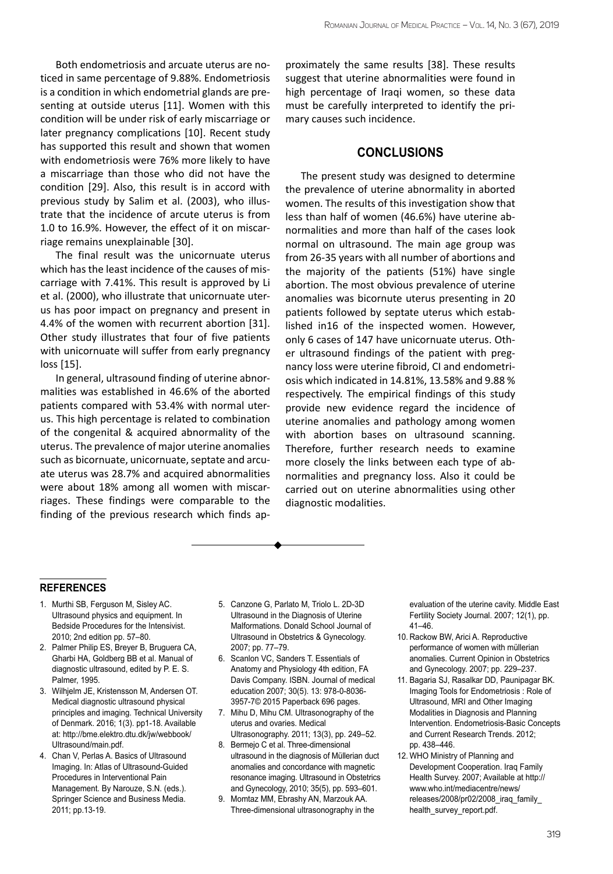Both endometriosis and arcuate uterus are noticed in same percentage of 9.88%. Endometriosis is a condition in which endometrial glands are presenting at outside uterus [11]. Women with this condition will be under risk of early miscarriage or later pregnancy complications [10]. Recent study has supported this result and shown that women with endometriosis were 76% more likely to have a miscarriage than those who did not have the condition [29]. Also, this result is in accord with previous study by Salim et al. (2003), who illustrate that the incidence of arcute uterus is from 1.0 to 16.9%. However, the effect of it on miscarriage remains unexplainable [30].

The final result was the unicornuate uterus which has the least incidence of the causes of miscarriage with 7.41%. This result is approved by Li et al. (2000), who illustrate that unicornuate uterus has poor impact on pregnancy and present in 4.4% of the women with recurrent abortion [31]. Other study illustrates that four of five patients with unicornuate will suffer from early pregnancy loss [15].

In general, ultrasound finding of uterine abnormalities was established in 46.6% of the aborted patients compared with 53.4% with normal uterus. This high percentage is related to combination of the congenital & acquired abnormality of the uterus. The prevalence of major uterine anomalies such as bicornuate, unicornuate, septate and arcuate uterus was 28.7% and acquired abnormalities were about 18% among all women with miscarriages. These findings were comparable to the finding of the previous research which finds approximately the same results [38]. These results suggest that uterine abnormalities were found in high percentage of Iraqi women, so these data must be carefully interpreted to identify the primary causes such incidence.

## **Conclusions**

The present study was designed to determine the prevalence of uterine abnormality in aborted women. The results of this investigation show that less than half of women (46.6%) have uterine abnormalities and more than half of the cases look normal on ultrasound. The main age group was from 26-35 years with all number of abortions and the majority of the patients (51%) have single abortion. The most obvious prevalence of uterine anomalies was bicornute uterus presenting in 20 patients followed by septate uterus which established in16 of the inspected women. However, only 6 cases of 147 have unicornuate uterus. Other ultrasound findings of the patient with pregnancy loss were uterine fibroid, CI and endometriosis which indicated in 14.81%, 13.58% and 9.88 % respectively. The empirical findings of this study provide new evidence regard the incidence of uterine anomalies and pathology among women with abortion bases on ultrasound scanning. Therefore, further research needs to examine more closely the links between each type of abnormalities and pregnancy loss. Also it could be carried out on uterine abnormalities using other diagnostic modalities.

#### **references**

- 1. Murthi SB, Ferguson M, Sisley AC. Ultrasound physics and equipment. In Bedside Procedures for the Intensivist. 2010; 2nd edition pp. 57–80.
- 2. Palmer Philip ES, Breyer B, Bruguera CA, Gharbi HA, Goldberg BB et al. Manual of diagnostic ultrasound, edited by P. E. S. Palmer, 1995.
- 3. Wilhjelm JE, Kristensson M, Andersen OT. Medical diagnostic ultrasound physical principles and imaging. Technical University of Denmark. 2016; 1(3). pp1-18. Available at: http://bme.elektro.dtu.dk/jw/webbook/ Ultrasound/main.pdf.
- 4. Chan V, Perlas A. Basics of Ultrasound Imaging. In: Atlas of Ultrasound-Guided Procedures in Interventional Pain Management. By Narouze, S.N. (eds.). Springer Science and Business Media. 2011; pp.13-19.
- 5. Canzone G, Parlato M, Triolo L. 2D-3D Ultrasound in the Diagnosis of Uterine Malformations. Donald School Journal of Ultrasound in Obstetrics & Gynecology. 2007; pp. 77–79.
- 6. Scanlon VC, Sanders T. Essentials of Anatomy and Physiology 4th edition, FA Davis Company. ISBN. Journal of medical education 2007; 30(5). 13: 978-0-8036- 3957-7© 2015 Paperback 696 pages.
- 7. Mihu D, Mihu CM. Ultrasonography of the uterus and ovaries. Medical Ultrasonography. 2011; 13(3), pp. 249–52.
- 8. Bermejo C et al. Three-dimensional ultrasound in the diagnosis of Müllerian duct anomalies and concordance with magnetic resonance imaging. Ultrasound in Obstetrics and Gynecology, 2010; 35(5), pp. 593–601.
- 9. Momtaz MM, Ebrashy AN, Marzouk AA. Three-dimensional ultrasonography in the

evaluation of the uterine cavity. Middle East Fertility Society Journal. 2007; 12(1), pp. 41–46.

- 10. Rackow BW, Arici A. Reproductive performance of women with müllerian anomalies. Current Opinion in Obstetrics and Gynecology. 2007; pp. 229–237.
- 11. Bagaria SJ, Rasalkar DD, Paunipagar BK. Imaging Tools for Endometriosis : Role of Ultrasound, MRI and Other Imaging Modalities in Diagnosis and Planning Intervention. Endometriosis-Basic Concepts and Current Research Trends. 2012; pp. 438–446.
- 12. WHO Ministry of Planning and Development Cooperation. Iraq Family Health Survey. 2007; Available at http:// www.who.int/mediacentre/news/ releases/2008/pr02/2008\_iraq\_family health\_survey\_report.pdf.